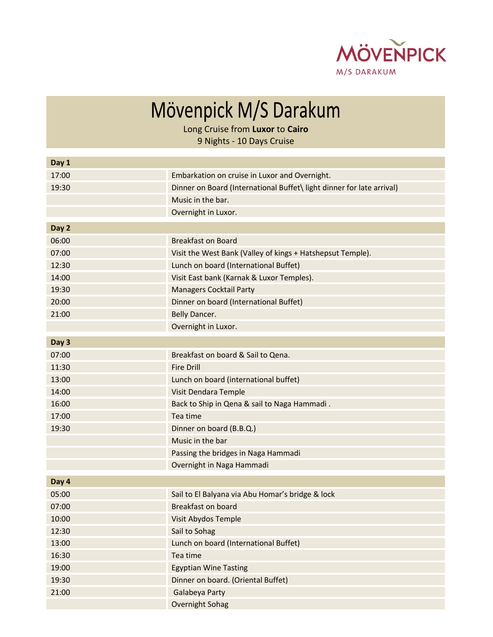

Mövenpick M/S Darakum

Long Cruise from **Luxor** to **Cairo**

9 Nights - 10 Days Cruise

| Day 1 |                                                                       |
|-------|-----------------------------------------------------------------------|
| 17:00 | Embarkation on cruise in Luxor and Overnight.                         |
| 19:30 | Dinner on Board (International Buffet\ light dinner for late arrival) |
|       | Music in the bar.                                                     |
|       | Overnight in Luxor.                                                   |
| Day 2 |                                                                       |
| 06:00 | <b>Breakfast on Board</b>                                             |
| 07:00 | Visit the West Bank (Valley of kings + Hatshepsut Temple).            |
| 12:30 | Lunch on board (International Buffet)                                 |
| 14:00 | Visit East bank (Karnak & Luxor Temples).                             |
| 19:30 | <b>Managers Cocktail Party</b>                                        |
| 20:00 | Dinner on board (International Buffet)                                |
| 21:00 | Belly Dancer.                                                         |
|       | Overnight in Luxor.                                                   |
| Day 3 |                                                                       |
| 07:00 | Breakfast on board & Sail to Qena.                                    |
| 11:30 | <b>Fire Drill</b>                                                     |
| 13:00 | Lunch on board (international buffet)                                 |
| 14:00 | Visit Dendara Temple                                                  |
| 16:00 | Back to Ship in Qena & sail to Naga Hammadi.                          |
| 17:00 | Tea time                                                              |
| 19:30 | Dinner on board (B.B.Q.)                                              |
|       | Music in the bar                                                      |
|       | Passing the bridges in Naga Hammadi                                   |
|       | Overnight in Naga Hammadi                                             |
| Day 4 |                                                                       |
| 05:00 | Sail to El Balyana via Abu Homar's bridge & lock                      |
| 07:00 | <b>Breakfast on board</b>                                             |
| 10:00 | Visit Abydos Temple                                                   |
| 12:30 | Sail to Sohag                                                         |
| 13:00 | Lunch on board (International Buffet)                                 |
| 16:30 | Tea time                                                              |
| 19:00 | <b>Egyptian Wine Tasting</b>                                          |
| 19:30 | Dinner on board. (Oriental Buffet)                                    |
| 21:00 | Galabeya Party                                                        |
|       | Overnight Sohag                                                       |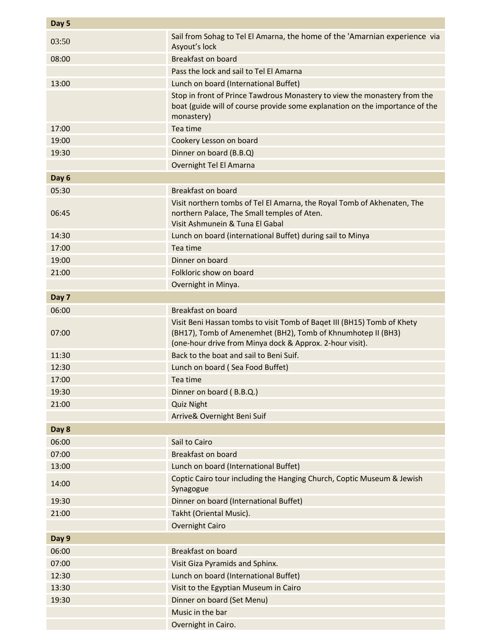| Day 5 |                                                                                                                                                                                                     |
|-------|-----------------------------------------------------------------------------------------------------------------------------------------------------------------------------------------------------|
| 03:50 | Sail from Sohag to Tel El Amarna, the home of the 'Amarnian experience via<br>Asyout's lock                                                                                                         |
| 08:00 | <b>Breakfast on board</b>                                                                                                                                                                           |
|       | Pass the lock and sail to Tel El Amarna                                                                                                                                                             |
| 13:00 | Lunch on board (International Buffet)                                                                                                                                                               |
|       | Stop in front of Prince Tawdrous Monastery to view the monastery from the<br>boat (guide will of course provide some explanation on the importance of the<br>monastery)                             |
| 17:00 | Tea time                                                                                                                                                                                            |
| 19:00 | Cookery Lesson on board                                                                                                                                                                             |
| 19:30 | Dinner on board (B.B.Q)                                                                                                                                                                             |
|       | Overnight Tel El Amarna                                                                                                                                                                             |
| Day 6 |                                                                                                                                                                                                     |
| 05:30 | Breakfast on board                                                                                                                                                                                  |
| 06:45 | Visit northern tombs of Tel El Amarna, the Royal Tomb of Akhenaten, The<br>northern Palace, The Small temples of Aten.<br>Visit Ashmunein & Tuna El Gabal                                           |
| 14:30 | Lunch on board (international Buffet) during sail to Minya                                                                                                                                          |
| 17:00 | Tea time                                                                                                                                                                                            |
| 19:00 | Dinner on board                                                                                                                                                                                     |
| 21:00 | Folkloric show on board                                                                                                                                                                             |
|       | Overnight in Minya.                                                                                                                                                                                 |
| Day 7 |                                                                                                                                                                                                     |
| 06:00 | <b>Breakfast on board</b>                                                                                                                                                                           |
| 07:00 | Visit Beni Hassan tombs to visit Tomb of Baqet III (BH15) Tomb of Khety<br>(BH17), Tomb of Amenemhet (BH2), Tomb of Khnumhotep II (BH3)<br>(one-hour drive from Minya dock & Approx. 2-hour visit). |
| 11:30 | Back to the boat and sail to Beni Suif.                                                                                                                                                             |
| 12:30 | Lunch on board (Sea Food Buffet)                                                                                                                                                                    |
| 17:00 | Tea time                                                                                                                                                                                            |
| 19:30 | Dinner on board (B.B.Q.)                                                                                                                                                                            |
| 21:00 | <b>Quiz Night</b>                                                                                                                                                                                   |
|       | Arrive& Overnight Beni Suif                                                                                                                                                                         |
| Day 8 |                                                                                                                                                                                                     |
| 06:00 | Sail to Cairo                                                                                                                                                                                       |
| 07:00 | <b>Breakfast on board</b>                                                                                                                                                                           |
| 13:00 | Lunch on board (International Buffet)                                                                                                                                                               |
| 14:00 | Coptic Cairo tour including the Hanging Church, Coptic Museum & Jewish<br>Synagogue                                                                                                                 |
| 19:30 | Dinner on board (International Buffet)                                                                                                                                                              |
| 21:00 | Takht (Oriental Music).                                                                                                                                                                             |
|       | <b>Overnight Cairo</b>                                                                                                                                                                              |
| Day 9 |                                                                                                                                                                                                     |
| 06:00 | <b>Breakfast on board</b>                                                                                                                                                                           |
| 07:00 | Visit Giza Pyramids and Sphinx.                                                                                                                                                                     |
| 12:30 | Lunch on board (International Buffet)                                                                                                                                                               |
| 13:30 | Visit to the Egyptian Museum in Cairo                                                                                                                                                               |
| 19:30 | Dinner on board (Set Menu)                                                                                                                                                                          |
|       | Music in the bar                                                                                                                                                                                    |
|       | Overnight in Cairo.                                                                                                                                                                                 |